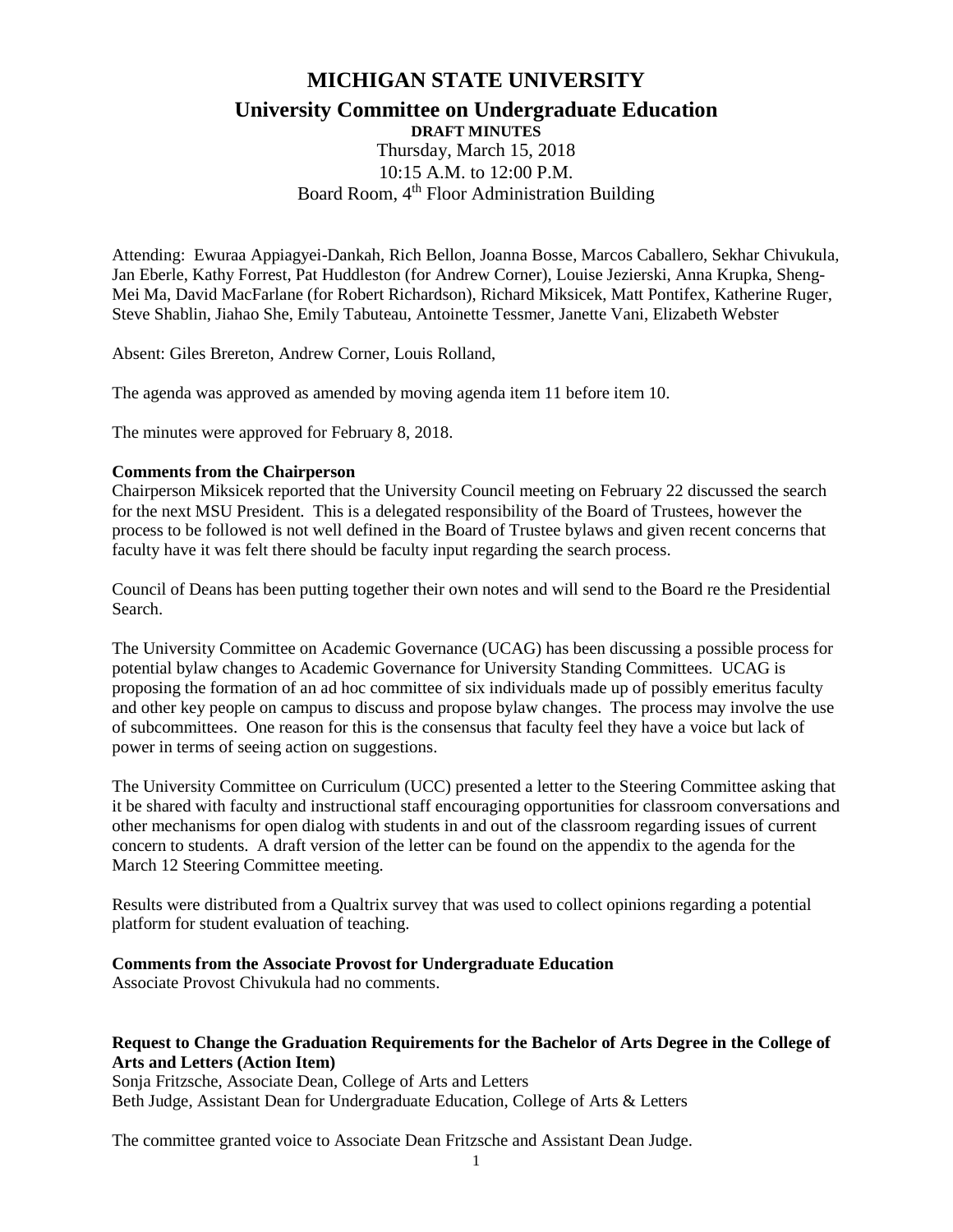# **MICHIGAN STATE UNIVERSITY University Committee on Undergraduate Education DRAFT MINUTES**

Thursday, March 15, 2018 10:15 A.M. to 12:00 P.M. Board Room, 4<sup>th</sup> Floor Administration Building

Attending: Ewuraa Appiagyei-Dankah, Rich Bellon, Joanna Bosse, Marcos Caballero, Sekhar Chivukula, Jan Eberle, Kathy Forrest, Pat Huddleston (for Andrew Corner), Louise Jezierski, Anna Krupka, Sheng-Mei Ma, David MacFarlane (for Robert Richardson), Richard Miksicek, Matt Pontifex, Katherine Ruger, Steve Shablin, Jiahao She, Emily Tabuteau, Antoinette Tessmer, Janette Vani, Elizabeth Webster

Absent: Giles Brereton, Andrew Corner, Louis Rolland,

The agenda was approved as amended by moving agenda item 11 before item 10.

The minutes were approved for February 8, 2018.

#### **Comments from the Chairperson**

Chairperson Miksicek reported that the University Council meeting on February 22 discussed the search for the next MSU President. This is a delegated responsibility of the Board of Trustees, however the process to be followed is not well defined in the Board of Trustee bylaws and given recent concerns that faculty have it was felt there should be faculty input regarding the search process.

Council of Deans has been putting together their own notes and will send to the Board re the Presidential Search.

The University Committee on Academic Governance (UCAG) has been discussing a possible process for potential bylaw changes to Academic Governance for University Standing Committees. UCAG is proposing the formation of an ad hoc committee of six individuals made up of possibly emeritus faculty and other key people on campus to discuss and propose bylaw changes. The process may involve the use of subcommittees. One reason for this is the consensus that faculty feel they have a voice but lack of power in terms of seeing action on suggestions.

The University Committee on Curriculum (UCC) presented a letter to the Steering Committee asking that it be shared with faculty and instructional staff encouraging opportunities for classroom conversations and other mechanisms for open dialog with students in and out of the classroom regarding issues of current concern to students. A draft version of the letter can be found on the appendix to the agenda for the March 12 Steering Committee meeting.

Results were distributed from a Qualtrix survey that was used to collect opinions regarding a potential platform for student evaluation of teaching.

### **Comments from the Associate Provost for Undergraduate Education**

Associate Provost Chivukula had no comments.

### **Request to Change the Graduation Requirements for the Bachelor of Arts Degree in the College of Arts and Letters (Action Item)**

Sonja Fritzsche, Associate Dean, College of Arts and Letters Beth Judge, Assistant Dean for Undergraduate Education, College of Arts & Letters

The committee granted voice to Associate Dean Fritzsche and Assistant Dean Judge.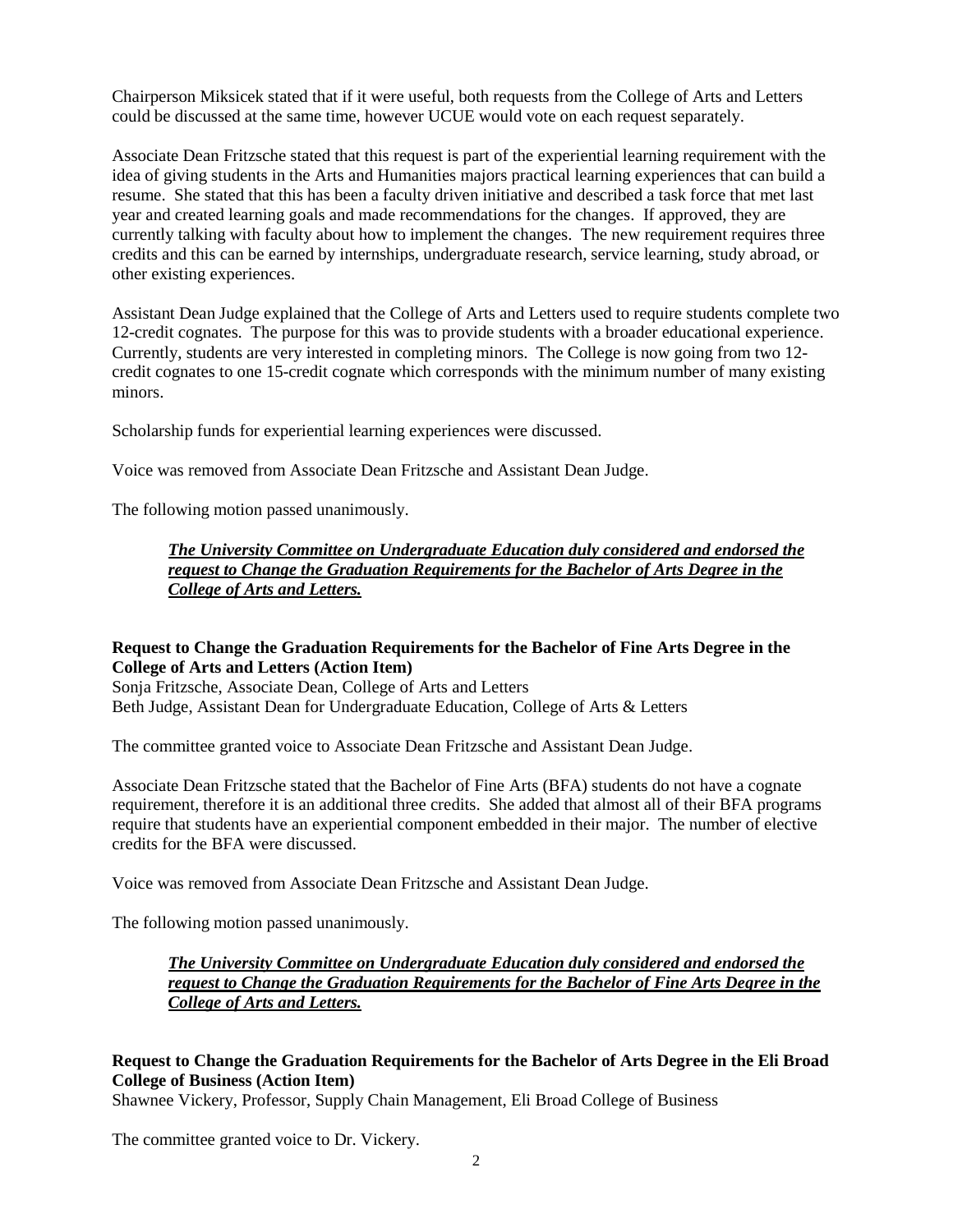Chairperson Miksicek stated that if it were useful, both requests from the College of Arts and Letters could be discussed at the same time, however UCUE would vote on each request separately.

Associate Dean Fritzsche stated that this request is part of the experiential learning requirement with the idea of giving students in the Arts and Humanities majors practical learning experiences that can build a resume. She stated that this has been a faculty driven initiative and described a task force that met last year and created learning goals and made recommendations for the changes. If approved, they are currently talking with faculty about how to implement the changes. The new requirement requires three credits and this can be earned by internships, undergraduate research, service learning, study abroad, or other existing experiences.

Assistant Dean Judge explained that the College of Arts and Letters used to require students complete two 12-credit cognates. The purpose for this was to provide students with a broader educational experience. Currently, students are very interested in completing minors. The College is now going from two 12 credit cognates to one 15-credit cognate which corresponds with the minimum number of many existing minors.

Scholarship funds for experiential learning experiences were discussed.

Voice was removed from Associate Dean Fritzsche and Assistant Dean Judge.

The following motion passed unanimously.

## *The University Committee on Undergraduate Education duly considered and endorsed the request to Change the Graduation Requirements for the Bachelor of Arts Degree in the College of Arts and Letters.*

## **Request to Change the Graduation Requirements for the Bachelor of Fine Arts Degree in the College of Arts and Letters (Action Item)**

Sonja Fritzsche, Associate Dean, College of Arts and Letters Beth Judge, Assistant Dean for Undergraduate Education, College of Arts & Letters

The committee granted voice to Associate Dean Fritzsche and Assistant Dean Judge.

Associate Dean Fritzsche stated that the Bachelor of Fine Arts (BFA) students do not have a cognate requirement, therefore it is an additional three credits. She added that almost all of their BFA programs require that students have an experiential component embedded in their major. The number of elective credits for the BFA were discussed.

Voice was removed from Associate Dean Fritzsche and Assistant Dean Judge.

The following motion passed unanimously.

*The University Committee on Undergraduate Education duly considered and endorsed the request to Change the Graduation Requirements for the Bachelor of Fine Arts Degree in the College of Arts and Letters.*

## **Request to Change the Graduation Requirements for the Bachelor of Arts Degree in the Eli Broad College of Business (Action Item)**

Shawnee Vickery, Professor, Supply Chain Management, Eli Broad College of Business

The committee granted voice to Dr. Vickery.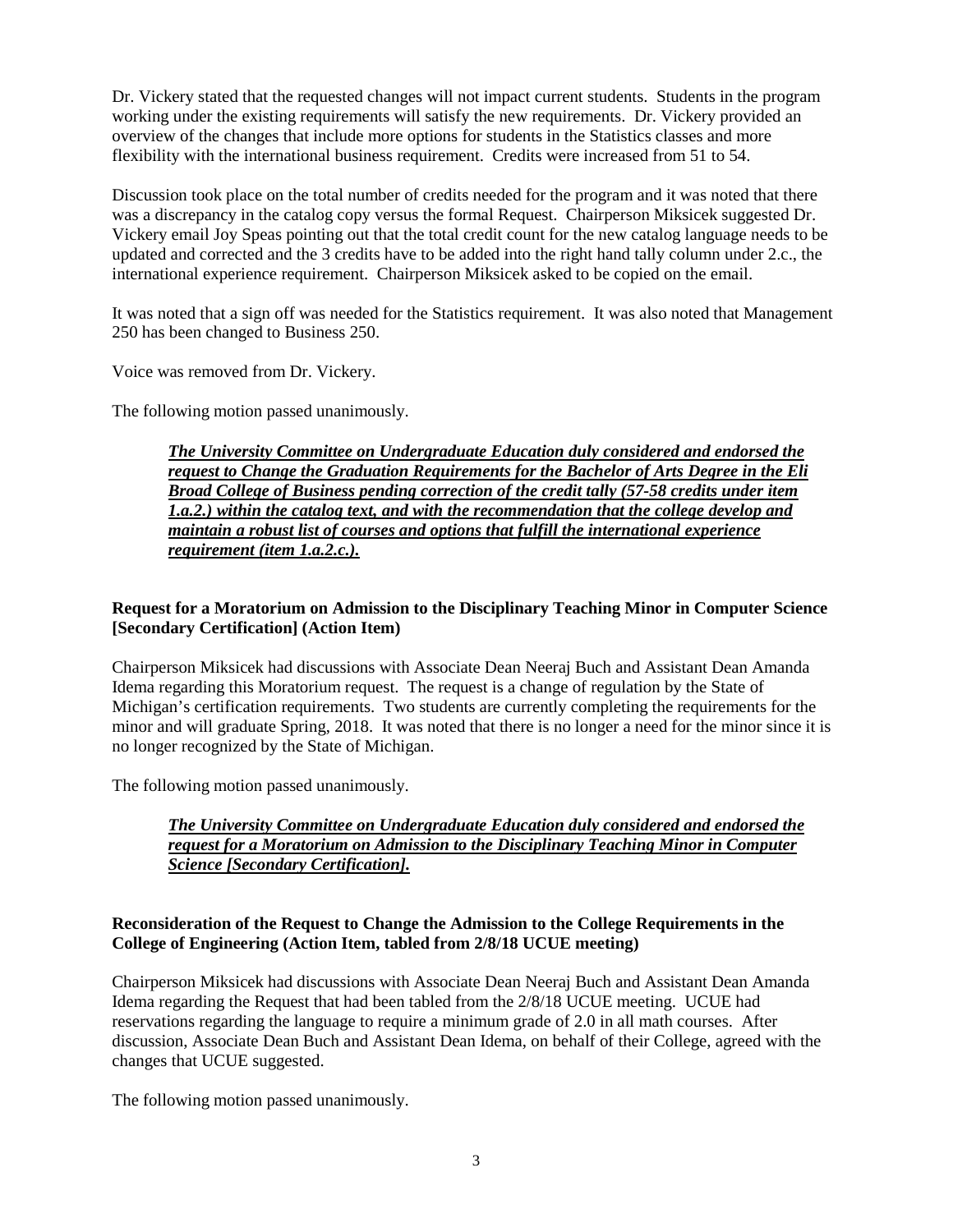Dr. Vickery stated that the requested changes will not impact current students. Students in the program working under the existing requirements will satisfy the new requirements. Dr. Vickery provided an overview of the changes that include more options for students in the Statistics classes and more flexibility with the international business requirement. Credits were increased from 51 to 54.

Discussion took place on the total number of credits needed for the program and it was noted that there was a discrepancy in the catalog copy versus the formal Request. Chairperson Miksicek suggested Dr. Vickery email Joy Speas pointing out that the total credit count for the new catalog language needs to be updated and corrected and the 3 credits have to be added into the right hand tally column under 2.c., the international experience requirement. Chairperson Miksicek asked to be copied on the email.

It was noted that a sign off was needed for the Statistics requirement. It was also noted that Management 250 has been changed to Business 250.

Voice was removed from Dr. Vickery.

The following motion passed unanimously.

*The University Committee on Undergraduate Education duly considered and endorsed the request to Change the Graduation Requirements for the Bachelor of Arts Degree in the Eli Broad College of Business pending correction of the credit tally (57-58 credits under item 1.a.2.) within the catalog text, and with the recommendation that the college develop and maintain a robust list of courses and options that fulfill the international experience requirement (item 1.a.2.c.).*

### **Request for a Moratorium on Admission to the Disciplinary Teaching Minor in Computer Science [Secondary Certification] (Action Item)**

Chairperson Miksicek had discussions with Associate Dean Neeraj Buch and Assistant Dean Amanda Idema regarding this Moratorium request. The request is a change of regulation by the State of Michigan's certification requirements. Two students are currently completing the requirements for the minor and will graduate Spring, 2018. It was noted that there is no longer a need for the minor since it is no longer recognized by the State of Michigan.

The following motion passed unanimously.

## *The University Committee on Undergraduate Education duly considered and endorsed the request for a Moratorium on Admission to the Disciplinary Teaching Minor in Computer Science [Secondary Certification].*

### **Reconsideration of the Request to Change the Admission to the College Requirements in the College of Engineering (Action Item, tabled from 2/8/18 UCUE meeting)**

Chairperson Miksicek had discussions with Associate Dean Neeraj Buch and Assistant Dean Amanda Idema regarding the Request that had been tabled from the 2/8/18 UCUE meeting. UCUE had reservations regarding the language to require a minimum grade of 2.0 in all math courses. After discussion, Associate Dean Buch and Assistant Dean Idema, on behalf of their College, agreed with the changes that UCUE suggested.

The following motion passed unanimously.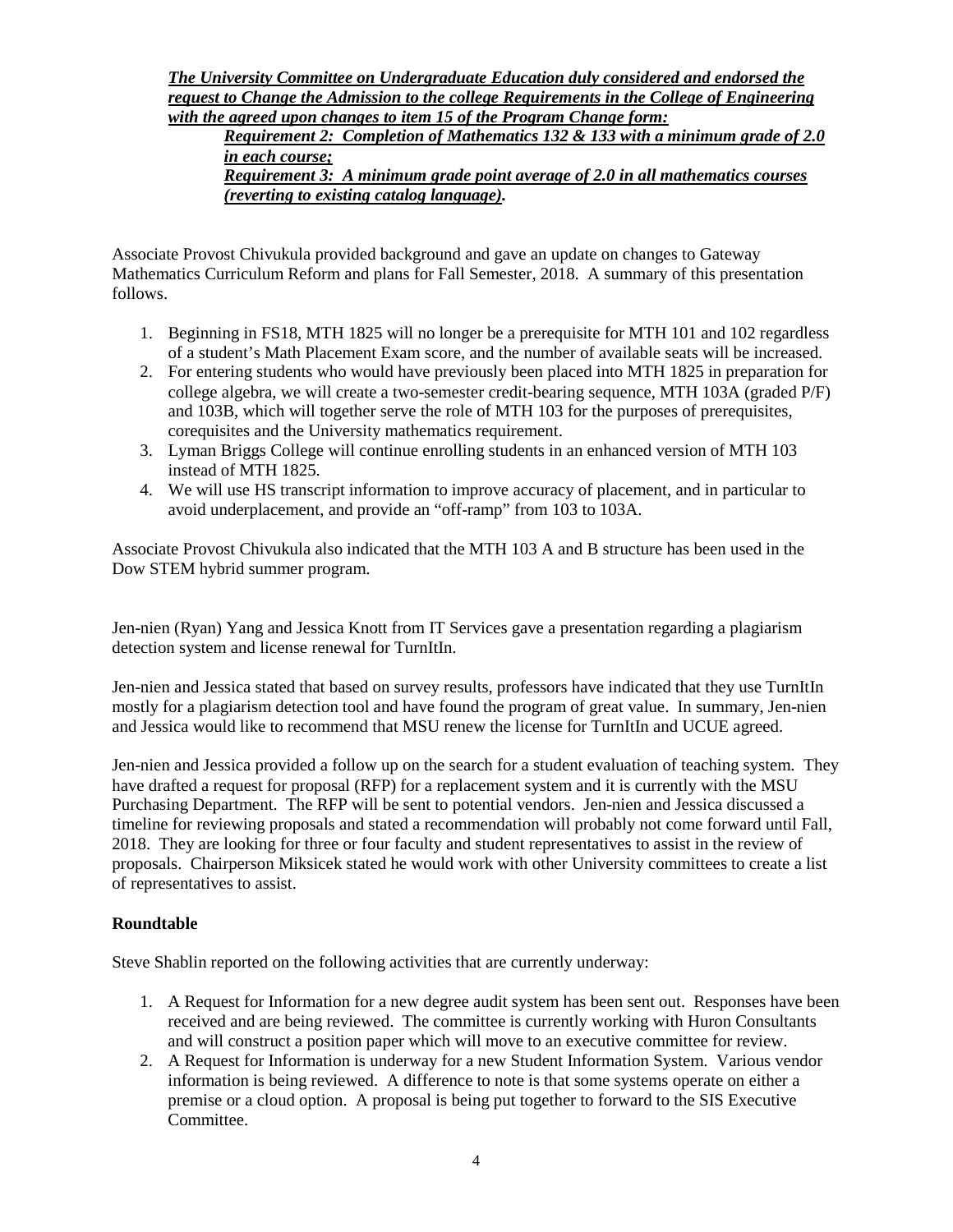*The University Committee on Undergraduate Education duly considered and endorsed the request to Change the Admission to the college Requirements in the College of Engineering with the agreed upon changes to item 15 of the Program Change form:* 

*Requirement 2: Completion of Mathematics 132 & 133 with a minimum grade of 2.0 in each course; Requirement 3: A minimum grade point average of 2.0 in all mathematics courses (reverting to existing catalog language).*

Associate Provost Chivukula provided background and gave an update on changes to Gateway Mathematics Curriculum Reform and plans for Fall Semester, 2018. A summary of this presentation follows.

- 1. Beginning in FS18, MTH 1825 will no longer be a prerequisite for MTH 101 and 102 regardless of a student's Math Placement Exam score, and the number of available seats will be increased.
- 2. For entering students who would have previously been placed into MTH 1825 in preparation for college algebra, we will create a two-semester credit-bearing sequence, MTH 103A (graded P/F) and 103B, which will together serve the role of MTH 103 for the purposes of prerequisites, corequisites and the University mathematics requirement.
- 3. Lyman Briggs College will continue enrolling students in an enhanced version of MTH 103 instead of MTH 1825.
- 4. We will use HS transcript information to improve accuracy of placement, and in particular to avoid underplacement, and provide an "off-ramp" from 103 to 103A.

Associate Provost Chivukula also indicated that the MTH 103 A and B structure has been used in the Dow STEM hybrid summer program.

Jen-nien (Ryan) Yang and Jessica Knott from IT Services gave a presentation regarding a plagiarism detection system and license renewal for TurnItIn.

Jen-nien and Jessica stated that based on survey results, professors have indicated that they use TurnItIn mostly for a plagiarism detection tool and have found the program of great value. In summary, Jen-nien and Jessica would like to recommend that MSU renew the license for TurnItIn and UCUE agreed.

Jen-nien and Jessica provided a follow up on the search for a student evaluation of teaching system. They have drafted a request for proposal (RFP) for a replacement system and it is currently with the MSU Purchasing Department. The RFP will be sent to potential vendors. Jen-nien and Jessica discussed a timeline for reviewing proposals and stated a recommendation will probably not come forward until Fall, 2018. They are looking for three or four faculty and student representatives to assist in the review of proposals. Chairperson Miksicek stated he would work with other University committees to create a list of representatives to assist.

## **Roundtable**

Steve Shablin reported on the following activities that are currently underway:

- 1. A Request for Information for a new degree audit system has been sent out. Responses have been received and are being reviewed. The committee is currently working with Huron Consultants and will construct a position paper which will move to an executive committee for review.
- 2. A Request for Information is underway for a new Student Information System. Various vendor information is being reviewed. A difference to note is that some systems operate on either a premise or a cloud option. A proposal is being put together to forward to the SIS Executive Committee.